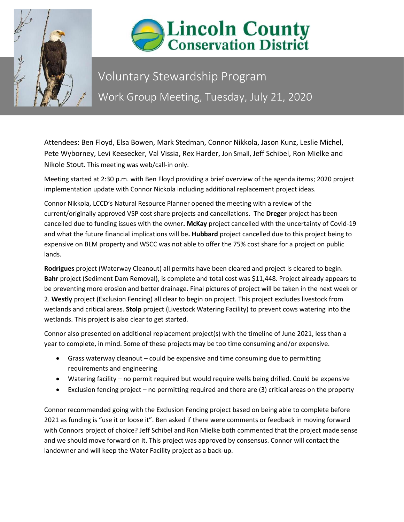



## Voluntary Stewardship Program Work Group Meeting, Tuesday, July 21, 2020

Attendees: Ben Floyd, Elsa Bowen, Mark Stedman, Connor Nikkola, Jason Kunz, Leslie Michel, Pete Wyborney, Levi Keesecker, Val Vissia, Rex Harder, Jon Small, Jeff Schibel, Ron Mielke and Nikole Stout. This meeting was web/call-in only.

Meeting started at 2:30 p.m. with Ben Floyd providing a brief overview of the agenda items; 2020 project implementation update with Connor Nickola including additional replacement project ideas.

Connor Nikkola, LCCD's Natural Resource Planner opened the meeting with a review of the current/originally approved VSP cost share projects and cancellations. The **Dreger** project has been cancelled due to funding issues with the owner**. McKay** project cancelled with the uncertainty of Covid-19 and what the future financial implications will be**. Hubbard** project cancelled due to this project being to expensive on BLM property and WSCC was not able to offer the 75% cost share for a project on public lands.

**Rodrigues** project (Waterway Cleanout) all permits have been cleared and project is cleared to begin. **Bahr** project (Sediment Dam Removal), is complete and total cost was \$11,448. Project already appears to be preventing more erosion and better drainage. Final pictures of project will be taken in the next week or 2. **Westly** project (Exclusion Fencing) all clear to begin on project. This project excludes livestock from wetlands and critical areas. **Stolp** project (Livestock Watering Facility) to prevent cows watering into the wetlands. This project is also clear to get started.

Connor also presented on additional replacement project(s) with the timeline of June 2021, less than a year to complete, in mind. Some of these projects may be too time consuming and/or expensive.

- Grass waterway cleanout could be expensive and time consuming due to permitting requirements and engineering
- Watering facility no permit required but would require wells being drilled. Could be expensive
- Exclusion fencing project no permitting required and there are (3) critical areas on the property

Connor recommended going with the Exclusion Fencing project based on being able to complete before 2021 as funding is "use it or loose it". Ben asked if there were comments or feedback in moving forward with Connors project of choice? Jeff Schibel and Ron Mielke both commented that the project made sense and we should move forward on it. This project was approved by consensus. Connor will contact the landowner and will keep the Water Facility project as a back-up.